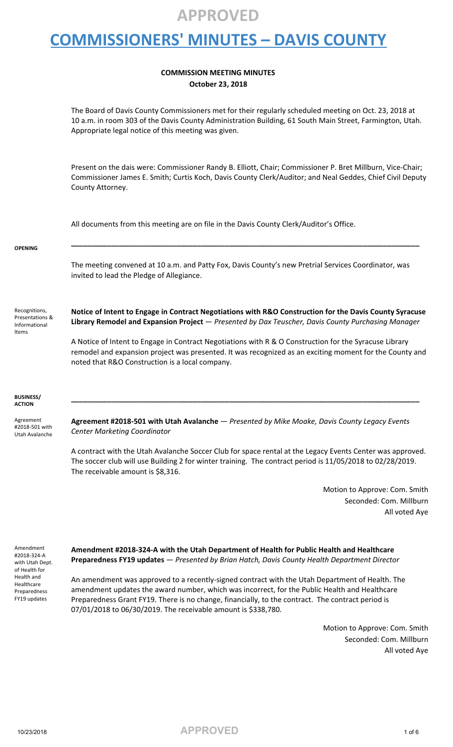#### **APPROVED**

#### **COMMISSIONERS' MINUTES – DAVIS COUNTY**

#### **COMMISSION MEETING MINUTES October 23, 2018**

The Board of Davis County Commissioners met for their regularly scheduled meeting on Oct. 23, 2018 at 10 a.m. in room 303 of the Davis County Administration Building, 61 South Main Street, Farmington, Utah. Appropriate legal notice of this meeting was given.

Present on the dais were: Commissioner Randy B. Elliott, Chair; Commissioner P. Bret Millburn, Vice-Chair; Commissioner James E. Smith; Curtis Koch, Davis County Clerk/Auditor; and Neal Geddes, Chief Civil Deputy County Attorney.

All documents from this meeting are on file in the Davis County Clerk/Auditor's Office.

#### **OPENING**

The meeting convened at 10 a.m. and Patty Fox, Davis County's new Pretrial Services Coordinator, was invited to lead the Pledge of Allegiance.

**\_\_\_\_\_\_\_\_\_\_\_\_\_\_\_\_\_\_\_\_\_\_\_\_\_\_\_\_\_\_\_\_\_\_\_\_\_\_\_\_\_\_\_\_\_\_\_\_\_\_\_\_\_\_\_\_\_\_\_\_\_\_\_\_\_\_\_\_\_\_\_\_\_\_\_\_\_\_\_\_\_\_\_\_\_\_**

Recognitions, Presentations & Informational Items

**Notice of Intent to Engage in Contract Negotiations with R&O Construction for the Davis County Syracuse Library Remodel and Expansion Project** — *Presented by Dax Teuscher, Davis County Purchasing Manager*

A Notice of Intent to Engage in Contract Negotiations with R & O Construction for the Syracuse Library remodel and expansion project was presented. It was recognized as an exciting moment for the County and noted that R&O Construction is a local company.

**\_\_\_\_\_\_\_\_\_\_\_\_\_\_\_\_\_\_\_\_\_\_\_\_\_\_\_\_\_\_\_\_\_\_\_\_\_\_\_\_\_\_\_\_\_\_\_\_\_\_\_\_\_\_\_\_\_\_\_\_\_\_\_\_\_\_\_\_\_\_\_\_\_\_\_\_\_\_\_\_\_\_\_\_\_\_**

#### **BUSINESS/ ACTION**

Agreement #2018-501 with Utah Avalanche

**Agreement #2018-501 with Utah Avalanche** — *Presented by Mike Moake, Davis County Legacy Events Center Marketing Coordinator*

A contract with the Utah Avalanche Soccer Club for space rental at the Legacy Events Center was approved. The soccer club will use Building 2 for winter training. The contract period is 11/05/2018 to 02/28/2019. The receivable amount is \$8,316.

> Motion to Approve: Com. Smith Seconded: Com. Millburn All voted Aye

Amendment #2018-324-A with Utah Dept. of Health for Health and Healthcare Preparedness FY19 updates

**Amendment #2018-324-A with the Utah Department of Health for Public Health and Healthcare Preparedness FY19 updates** — *Presented by Brian Hatch, Davis County Health Department Director*

An amendment was approved to a recently-signed contract with the Utah Department of Health. The amendment updates the award number, which was incorrect, for the Public Health and Healthcare Preparedness Grant FY19. There is no change, financially, to the contract. The contract period is 07/01/2018 to 06/30/2019. The receivable amount is \$338,780.

> Motion to Approve: Com. Smith Seconded: Com. Millburn All voted Aye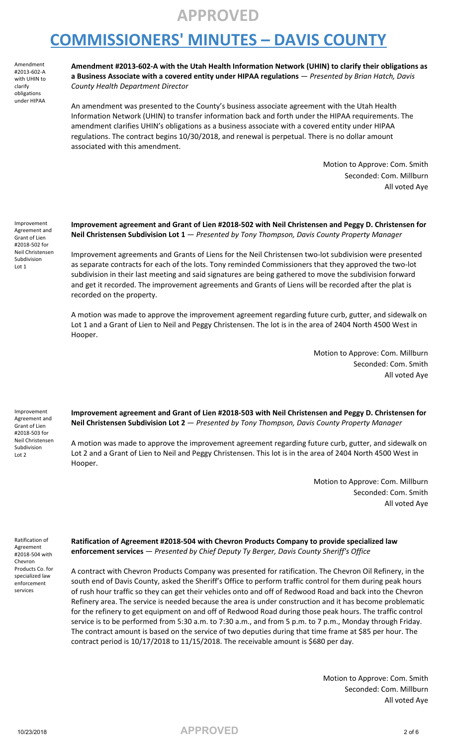Amendment #2013-602-A with UHIN to clarify obligations under HIPAA **Amendment #2013-602-A with the Utah Health Information Network (UHIN) to clarify their obligations as a Business Associate with a covered entity under HIPAA regulations** — *Presented by Brian Hatch, Davis County Health Department Director*

An amendment was presented to the County's business associate agreement with the Utah Health Information Network (UHIN) to transfer information back and forth under the HIPAA requirements. The amendment clarifies UHIN's obligations as a business associate with a covered entity under HIPAA regulations. The contract begins 10/30/2018, and renewal is perpetual. There is no dollar amount associated with this amendment.

> Motion to Approve: Com. Smith Seconded: Com. Millburn All voted Aye

Improvement Agreement and Grant of Lien #2018-502 for Neil Christensen Subdivision Lot 1

**Improvement agreement and Grant of Lien #2018-502 with Neil Christensen and Peggy D. Christensen for Neil Christensen Subdivision Lot 1** — *Presented by Tony Thompson, Davis County Property Manager*

Improvement agreements and Grants of Liens for the Neil Christensen two-lot subdivision were presented as separate contracts for each of the lots. Tony reminded Commissioners that they approved the two-lot subdivision in their last meeting and said signatures are being gathered to move the subdivision forward and get it recorded. The improvement agreements and Grants of Liens will be recorded after the plat is recorded on the property.

A motion was made to approve the improvement agreement regarding future curb, gutter, and sidewalk on Lot 1 and a Grant of Lien to Neil and Peggy Christensen. The lot is in the area of 2404 North 4500 West in Hooper.

> Motion to Approve: Com. Millburn Seconded: Com. Smith All voted Aye

Improvement Agreement and Grant of Lien #2018-503 for Neil Christensen Subdivision Lot 2

**Improvement agreement and Grant of Lien #2018-503 with Neil Christensen and Peggy D. Christensen for Neil Christensen Subdivision Lot 2** — *Presented by Tony Thompson, Davis County Property Manager*

A motion was made to approve the improvement agreement regarding future curb, gutter, and sidewalk on Lot 2 and a Grant of Lien to Neil and Peggy Christensen. This lot is in the area of 2404 North 4500 West in Hooper.

> Motion to Approve: Com. Millburn Seconded: Com. Smith All voted Aye

Ratification of Agreement #2018-504 with Chevron Products Co. for specialized law enforcement services

**Ratification of Agreement #2018-504 with Chevron Products Company to provide specialized law enforcement services** — *Presented by Chief Deputy Ty Berger, Davis County Sheriff's Office*

A contract with Chevron Products Company was presented for ratification. The Chevron Oil Refinery, in the south end of Davis County, asked the Sheriff's Office to perform traffic control for them during peak hours of rush hour traffic so they can get their vehicles onto and off of Redwood Road and back into the Chevron Refinery area. The service is needed because the area is under construction and it has become problematic for the refinery to get equipment on and off of Redwood Road during those peak hours. The traffic control service is to be performed from 5:30 a.m. to 7:30 a.m., and from 5 p.m. to 7 p.m., Monday through Friday. The contract amount is based on the service of two deputies during that time frame at \$85 per hour. The contract period is 10/17/2018 to 11/15/2018. The receivable amount is \$680 per day.

> Motion to Approve: Com. Smith Seconded: Com. Millburn All voted Aye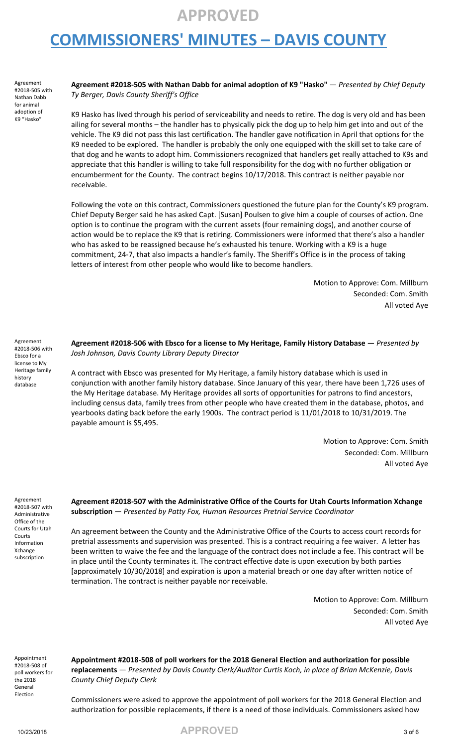Agreement #2018-505 with Nathan Dabb for animal adoption of K9 "Hasko"

**Agreement #2018-505 with Nathan Dabb for animal adoption of K9 "Hasko"** — *Presented by Chief Deputy Ty Berger, Davis County Sheriff's Office*

K9 Hasko has lived through his period of serviceability and needs to retire. The dog is very old and has been ailing for several months – the handler has to physically pick the dog up to help him get into and out of the vehicle. The K9 did not pass this last certification. The handler gave notification in April that options for the K9 needed to be explored. The handler is probably the only one equipped with the skill set to take care of that dog and he wants to adopt him. Commissioners recognized that handlers get really attached to K9s and appreciate that this handler is willing to take full responsibility for the dog with no further obligation or encumberment for the County. The contract begins 10/17/2018. This contract is neither payable nor receivable.

Following the vote on this contract, Commissioners questioned the future plan for the County's K9 program. Chief Deputy Berger said he has asked Capt. [Susan] Poulsen to give him a couple of courses of action. One option is to continue the program with the current assets (four remaining dogs), and another course of action would be to replace the K9 that is retiring. Commissioners were informed that there's also a handler who has asked to be reassigned because he's exhausted his tenure. Working with a K9 is a huge commitment, 24-7, that also impacts a handler's family. The Sheriff's Office is in the process of taking letters of interest from other people who would like to become handlers.

> Motion to Approve: Com. Millburn Seconded: Com. Smith All voted Aye

Agreement #2018-506 with Ebsco for a license to My Heritage family history database

**Agreement #2018-506 with Ebsco for a license to My Heritage, Family History Database** — *Presented by Josh Johnson, Davis County Library Deputy Director*

A contract with Ebsco was presented for My Heritage, a family history database which is used in conjunction with another family history database. Since January of this year, there have been 1,726 uses of the My Heritage database. My Heritage provides all sorts of opportunities for patrons to find ancestors, including census data, family trees from other people who have created them in the database, photos, and yearbooks dating back before the early 1900s. The contract period is 11/01/2018 to 10/31/2019. The payable amount is \$5,495.

> Motion to Approve: Com. Smith Seconded: Com. Millburn All voted Aye

Agreement #2018-507 with Administrative Office of the Courts for Utah Courts Information Xchange subscription

**Agreement #2018-507 with the Administrative Office of the Courts for Utah Courts Information Xchange subscription** — *Presented by Patty Fox, Human Resources Pretrial Service Coordinator*

An agreement between the County and the Administrative Office of the Courts to access court records for pretrial assessments and supervision was presented. This is a contract requiring a fee waiver. A letter has been written to waive the fee and the language of the contract does not include a fee. This contract will be in place until the County terminates it. The contract effective date is upon execution by both parties [approximately 10/30/2018] and expiration is upon a material breach or one day after written notice of termination. The contract is neither payable nor receivable.

> Motion to Approve: Com. Millburn Seconded: Com. Smith All voted Aye

Appointment #2018-508 of poll workers for the 2018 General Election

**Appointment #2018-508 of poll workers for the 2018 General Election and authorization for possible replacements** — *Presented by Davis County Clerk/Auditor Curtis Koch, in place of Brian McKenzie, Davis County Chief Deputy Clerk*

Commissioners were asked to approve the appointment of poll workers for the 2018 General Election and authorization for possible replacements, if there is a need of those individuals. Commissioners asked how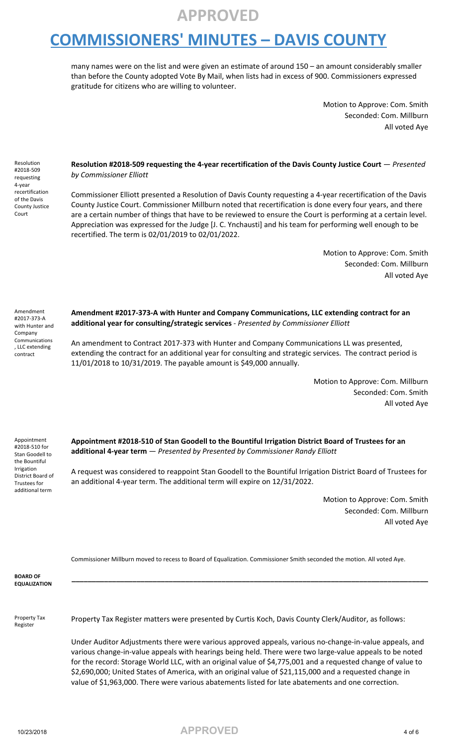many names were on the list and were given an estimate of around 150 – an amount considerably smaller than before the County adopted Vote By Mail, when lists had in excess of 900. Commissioners expressed gratitude for citizens who are willing to volunteer.

> Motion to Approve: Com. Smith Seconded: Com. Millburn All voted Aye

Resolution #2018-509 requesting 4-year recertification of the Davis County Justice Court

**Resolution #2018-509 requesting the 4-year recertification of the Davis County Justice Court** — *Presented by Commissioner Elliott*

Commissioner Elliott presented a Resolution of Davis County requesting a 4-year recertification of the Davis County Justice Court. Commissioner Millburn noted that recertification is done every four years, and there are a certain number of things that have to be reviewed to ensure the Court is performing at a certain level. Appreciation was expressed for the Judge [J. C. Ynchausti] and his team for performing well enough to be recertified. The term is 02/01/2019 to 02/01/2022.

> Motion to Approve: Com. Smith Seconded: Com. Millburn All voted Aye

Amendment #2017-373-A with Hunter and Company Communications , LLC extending contract

**Amendment #2017-373-A with Hunter and Company Communications, LLC extending contract for an additional year for consulting/strategic services** - *Presented by Commissioner Elliott*

An amendment to Contract 2017-373 with Hunter and Company Communications LL was presented, extending the contract for an additional year for consulting and strategic services. The contract period is 11/01/2018 to 10/31/2019. The payable amount is \$49,000 annually.

> Motion to Approve: Com. Millburn Seconded: Com. Smith All voted Aye

Appointment #2018-510 for Stan Goodell to the Bountiful Irrigation District Board of Trustees for additional term

**Appointment #2018-510 of Stan Goodell to the Bountiful Irrigation District Board of Trustees for an additional 4-year term** — *Presented by Presented by Commissioner Randy Elliott*

A request was considered to reappoint Stan Goodell to the Bountiful Irrigation District Board of Trustees for an additional 4-year term. The additional term will expire on 12/31/2022.

> Motion to Approve: Com. Smith Seconded: Com. Millburn All voted Aye

Commissioner Millburn moved to recess to Board of Equalization. Commissioner Smith seconded the motion. All voted Aye.

**\_\_\_\_\_\_\_\_\_\_\_\_\_\_\_\_\_\_\_\_\_\_\_\_\_\_\_\_\_\_\_\_\_\_\_\_\_\_\_\_\_\_\_\_\_\_\_\_\_\_\_\_\_\_\_\_\_\_\_\_\_\_\_\_\_\_\_\_\_\_\_\_\_\_\_\_\_\_\_\_\_\_\_\_\_\_\_\_**

**BOARD OF EQUALIZATION**

Property Tax Register

Property Tax Register matters were presented by Curtis Koch, Davis County Clerk/Auditor, as follows:

Under Auditor Adjustments there were various approved appeals, various no-change-in-value appeals, and various change-in-value appeals with hearings being held. There were two large-value appeals to be noted for the record: Storage World LLC, with an original value of \$4,775,001 and a requested change of value to \$2,690,000; United States of America, with an original value of \$21,115,000 and a requested change in value of \$1,963,000. There were various abatements listed for late abatements and one correction.

10/23/2018 **APPROVED** <sup>4</sup> of <sup>6</sup>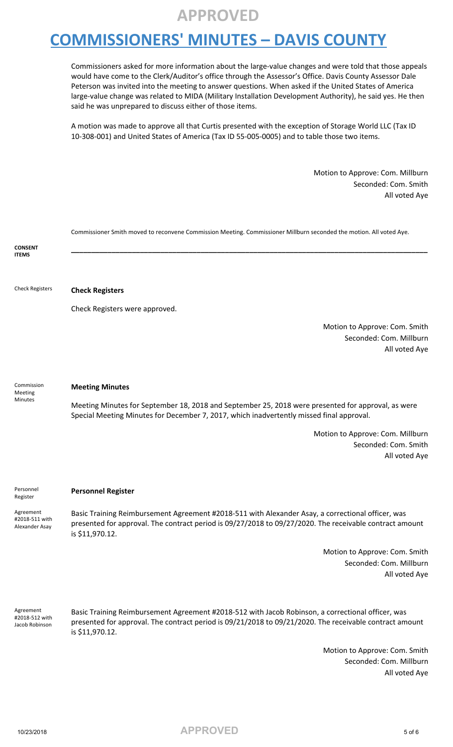Commissioners asked for more information about the large-value changes and were told that those appeals would have come to the Clerk/Auditor's office through the Assessor's Office. Davis County Assessor Dale Peterson was invited into the meeting to answer questions. When asked if the United States of America large-value change was related to MIDA (Military Installation Development Authority), he said yes. He then said he was unprepared to discuss either of those items.

A motion was made to approve all that Curtis presented with the exception of Storage World LLC (Tax ID 10-308-001) and United States of America (Tax ID 55-005-0005) and to table those two items.

> Motion to Approve: Com. Millburn Seconded: Com. Smith All voted Aye



Seconded: Com. Millburn All voted Aye

10/23/2018 **APPROVED** 5 of 6